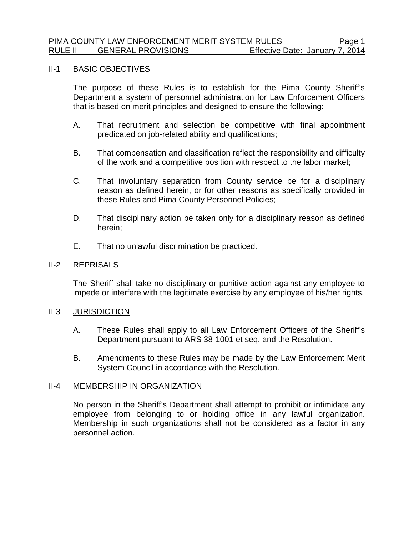#### II-1 BASIC OBJECTIVES

The purpose of these Rules is to establish for the Pima County Sheriff's Department a system of personnel administration for Law Enforcement Officers that is based on merit principles and designed to ensure the following:

- A. That recruitment and selection be competitive with final appointment predicated on job-related ability and qualifications;
- B. That compensation and classification reflect the responsibility and difficulty of the work and a competitive position with respect to the labor market;
- C. That involuntary separation from County service be for a disciplinary reason as defined herein, or for other reasons as specifically provided in these Rules and Pima County Personnel Policies;
- D. That disciplinary action be taken only for a disciplinary reason as defined herein;
- E. That no unlawful discrimination be practiced.

### II-2 REPRISALS

The Sheriff shall take no disciplinary or punitive action against any employee to impede or interfere with the legitimate exercise by any employee of his/her rights.

# II-3 JURISDICTION

- A. These Rules shall apply to all Law Enforcement Officers of the Sheriff's Department pursuant to ARS 38-1001 et seq. and the Resolution.
- B. Amendments to these Rules may be made by the Law Enforcement Merit System Council in accordance with the Resolution.

# II-4 MEMBERSHIP IN ORGANIZATION

No person in the Sheriff's Department shall attempt to prohibit or intimidate any employee from belonging to or holding office in any lawful organization. Membership in such organizations shall not be considered as a factor in any personnel action.